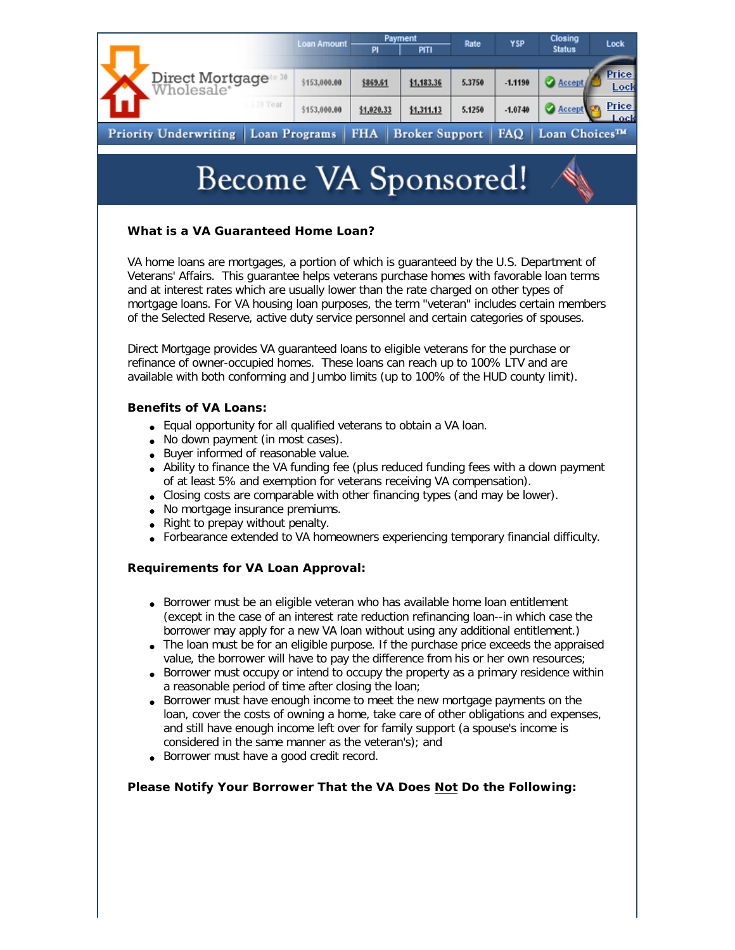|                              |                                                                                                                                                                                                                                                                                                                                                                                                                                                                                                                                                                                                                                                                                                                                                                                                                                                                                                                                                           |        | <b>Loan Amount</b>                                                                                                                                                                                                                                                                                                                                                                                                                                                                                                                                                                                                             | PI         | Payment<br>PITI       | Rate   | YSP       | Closing<br><b>Status</b> |
|------------------------------|-----------------------------------------------------------------------------------------------------------------------------------------------------------------------------------------------------------------------------------------------------------------------------------------------------------------------------------------------------------------------------------------------------------------------------------------------------------------------------------------------------------------------------------------------------------------------------------------------------------------------------------------------------------------------------------------------------------------------------------------------------------------------------------------------------------------------------------------------------------------------------------------------------------------------------------------------------------|--------|--------------------------------------------------------------------------------------------------------------------------------------------------------------------------------------------------------------------------------------------------------------------------------------------------------------------------------------------------------------------------------------------------------------------------------------------------------------------------------------------------------------------------------------------------------------------------------------------------------------------------------|------------|-----------------------|--------|-----------|--------------------------|
|                              | Direct Mortgage <sup>te 30</sup><br>Wholesale*                                                                                                                                                                                                                                                                                                                                                                                                                                                                                                                                                                                                                                                                                                                                                                                                                                                                                                            |        | \$153,000.00                                                                                                                                                                                                                                                                                                                                                                                                                                                                                                                                                                                                                   | \$869.61   | \$1,183.36            | 5.3750 | $-1.1190$ | <b>Accept</b>            |
|                              |                                                                                                                                                                                                                                                                                                                                                                                                                                                                                                                                                                                                                                                                                                                                                                                                                                                                                                                                                           | 0 Year | \$153,000.00                                                                                                                                                                                                                                                                                                                                                                                                                                                                                                                                                                                                                   | \$1,020.33 | \$1,311.13            | 5.1250 | $-1.0740$ | <b>Accept</b>            |
| <b>Priority Underwriting</b> |                                                                                                                                                                                                                                                                                                                                                                                                                                                                                                                                                                                                                                                                                                                                                                                                                                                                                                                                                           |        | Loan Programs                                                                                                                                                                                                                                                                                                                                                                                                                                                                                                                                                                                                                  | <b>FHA</b> | <b>Broker Support</b> |        | FAQ       | Loan Choices™            |
|                              |                                                                                                                                                                                                                                                                                                                                                                                                                                                                                                                                                                                                                                                                                                                                                                                                                                                                                                                                                           |        | Become VA Sponsored!<br>What is a VA Guaranteed Home Loan?<br>VA home loans are mortgages, a portion of which is guaranteed by the U.S. Department of<br>Veterans' Affairs. This guarantee helps veterans purchase homes with favorable loan terms<br>and at interest rates which are usually lower than the rate charged on other types of<br>mortgage loans. For VA housing loan purposes, the term "veteran" includes certain members<br>of the Selected Reserve, active duty service personnel and certain categories of spouses.<br>Direct Mortgage provides VA guaranteed loans to eligible veterans for the purchase or |            |                       |        |           |                          |
|                              |                                                                                                                                                                                                                                                                                                                                                                                                                                                                                                                                                                                                                                                                                                                                                                                                                                                                                                                                                           |        |                                                                                                                                                                                                                                                                                                                                                                                                                                                                                                                                                                                                                                |            |                       |        |           |                          |
|                              | refinance of owner-occupied homes. These loans can reach up to 100% LTV and are<br>available with both conforming and Jumbo limits (up to 100% of the HUD county limit).                                                                                                                                                                                                                                                                                                                                                                                                                                                                                                                                                                                                                                                                                                                                                                                  |        |                                                                                                                                                                                                                                                                                                                                                                                                                                                                                                                                                                                                                                |            |                       |        |           |                          |
|                              | <b>Benefits of VA Loans:</b>                                                                                                                                                                                                                                                                                                                                                                                                                                                                                                                                                                                                                                                                                                                                                                                                                                                                                                                              |        |                                                                                                                                                                                                                                                                                                                                                                                                                                                                                                                                                                                                                                |            |                       |        |           |                          |
|                              | • Equal opportunity for all qualified veterans to obtain a VA loan.<br>• No down payment (in most cases).<br>• Buyer informed of reasonable value.<br>• Ability to finance the VA funding fee (plus reduced funding fees with a down payment<br>of at least 5% and exemption for veterans receiving VA compensation).<br>• Closing costs are comparable with other financing types (and may be lower).<br>• No mortgage insurance premiums.<br>Right to prepay without penalty.<br>• Forbearance extended to VA homeowners experiencing temporary financial difficulty.                                                                                                                                                                                                                                                                                                                                                                                   |        |                                                                                                                                                                                                                                                                                                                                                                                                                                                                                                                                                                                                                                |            |                       |        |           |                          |
|                              | <b>Requirements for VA Loan Approval:</b>                                                                                                                                                                                                                                                                                                                                                                                                                                                                                                                                                                                                                                                                                                                                                                                                                                                                                                                 |        |                                                                                                                                                                                                                                                                                                                                                                                                                                                                                                                                                                                                                                |            |                       |        |           |                          |
|                              | • Borrower must be an eligible veteran who has available home loan entitlement<br>(except in the case of an interest rate reduction refinancing loan--in which case the<br>borrower may apply for a new VA loan without using any additional entitlement.)<br>• The loan must be for an eligible purpose. If the purchase price exceeds the appraised<br>value, the borrower will have to pay the difference from his or her own resources;<br>• Borrower must occupy or intend to occupy the property as a primary residence within<br>a reasonable period of time after closing the loan;<br>• Borrower must have enough income to meet the new mortgage payments on the<br>loan, cover the costs of owning a home, take care of other obligations and expenses,<br>and still have enough income left over for family support (a spouse's income is<br>considered in the same manner as the veteran's); and<br>Borrower must have a good credit record. |        |                                                                                                                                                                                                                                                                                                                                                                                                                                                                                                                                                                                                                                |            |                       |        |           |                          |
|                              | Please Notify Your Borrower That the VA Does Not Do the Following:                                                                                                                                                                                                                                                                                                                                                                                                                                                                                                                                                                                                                                                                                                                                                                                                                                                                                        |        |                                                                                                                                                                                                                                                                                                                                                                                                                                                                                                                                                                                                                                |            |                       |        |           |                          |
|                              |                                                                                                                                                                                                                                                                                                                                                                                                                                                                                                                                                                                                                                                                                                                                                                                                                                                                                                                                                           |        |                                                                                                                                                                                                                                                                                                                                                                                                                                                                                                                                                                                                                                |            |                       |        |           |                          |
|                              |                                                                                                                                                                                                                                                                                                                                                                                                                                                                                                                                                                                                                                                                                                                                                                                                                                                                                                                                                           |        |                                                                                                                                                                                                                                                                                                                                                                                                                                                                                                                                                                                                                                |            |                       |        |           |                          |
|                              |                                                                                                                                                                                                                                                                                                                                                                                                                                                                                                                                                                                                                                                                                                                                                                                                                                                                                                                                                           |        |                                                                                                                                                                                                                                                                                                                                                                                                                                                                                                                                                                                                                                |            |                       |        |           |                          |

ı